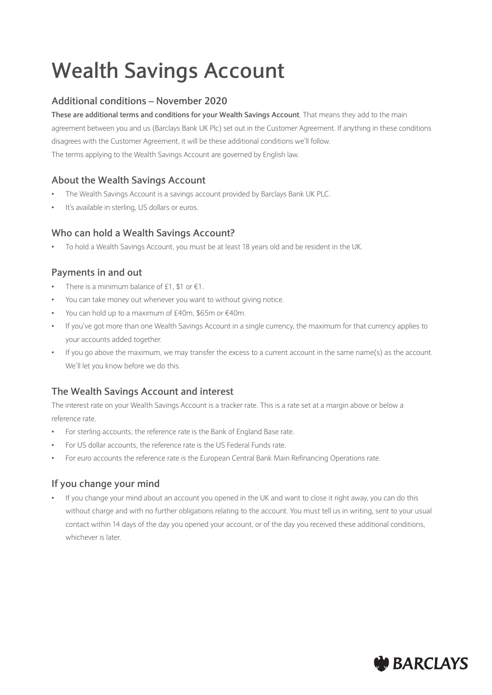# **Wealth Savings Account**

# **Additional conditions – November 2020**

**These are additional terms and conditions for your Wealth Savings Account**. That means they add to the main agreement between you and us (Barclays Bank UK Plc) set out in the Customer Agreement. If anything in these conditions disagrees with the Customer Agreement, it will be these additional conditions we'll follow. The terms applying to the Wealth Savings Account are governed by English law.

## **About the Wealth Savings Account**

- The Wealth Savings Account is a savings account provided by Barclays Bank UK PLC.
- It's available in sterling, US dollars or euros.

## **Who can hold a Wealth Savings Account?**

• To hold a Wealth Savings Account, you must be at least 18 years old and be resident in the UK.

# **Payments in and out**

- There is a minimum balance of £1, \$1 or  $€1$ .
- You can take money out whenever you want to without giving notice.
- You can hold up to a maximum of £40m, \$65m or €40m.
- If you've got more than one Wealth Savings Account in a single currency, the maximum for that currency applies to your accounts added together.
- If you go above the maximum, we may transfer the excess to a current account in the same name(s) as the account. We'll let you know before we do this.

## **The Wealth Savings Account and interest**

The interest rate on your Wealth Savings Account is a tracker rate. This is a rate set at a margin above or below a reference rate.

- For sterling accounts, the reference rate is the Bank of England Base rate.
- For US dollar accounts, the reference rate is the US Federal Funds rate.
- For euro accounts the reference rate is the European Central Bank Main Refinancing Operations rate.

## **If you change your mind**

• If you change your mind about an account you opened in the UK and want to close it right away, you can do this without charge and with no further obligations relating to the account. You must tell us in writing, sent to your usual contact within 14 days of the day you opened your account, or of the day you received these additional conditions, whichever is later.

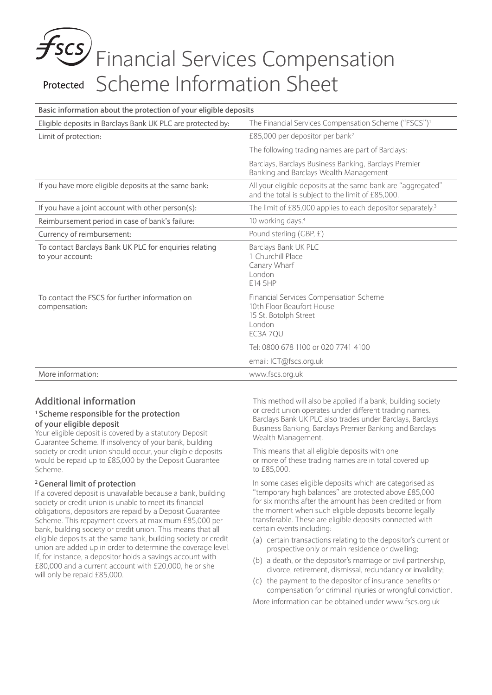# Financial Services Compensation Protected Scheme Information Sheet

| Basic information about the protection of your eligible deposits           |                                                                                                                                                           |
|----------------------------------------------------------------------------|-----------------------------------------------------------------------------------------------------------------------------------------------------------|
| Eligible deposits in Barclays Bank UK PLC are protected by:                | The Financial Services Compensation Scheme ("FSCS") <sup>1</sup>                                                                                          |
| Limit of protection:                                                       | £85,000 per depositor per bank <sup>2</sup>                                                                                                               |
|                                                                            | The following trading names are part of Barclays:                                                                                                         |
|                                                                            | Barclays, Barclays Business Banking, Barclays Premier<br>Banking and Barclays Wealth Management                                                           |
| If you have more eligible deposits at the same bank:                       | All your eligible deposits at the same bank are "aggregated"<br>and the total is subject to the limit of £85,000.                                         |
| If you have a joint account with other person(s):                          | The limit of £85,000 applies to each depositor separately. <sup>3</sup>                                                                                   |
| Reimbursement period in case of bank's failure:                            | 10 working days. <sup>4</sup>                                                                                                                             |
| Currency of reimbursement:                                                 | Pound sterling (GBP, £)                                                                                                                                   |
| To contact Barclays Bank UK PLC for enquiries relating<br>to your account: | Barclays Bank UK PLC<br>1 Churchill Place<br>Canary Wharf<br>London<br>E14 5HP                                                                            |
| To contact the FSCS for further information on<br>compensation:            | Financial Services Compensation Scheme<br>10th Floor Beaufort House<br>15 St. Botolph Street<br>London<br>EC3A 7OU<br>Tel: 0800 678 1100 or 020 7741 4100 |
|                                                                            | email: ICT@fscs.org.uk                                                                                                                                    |
| More information:                                                          | www.fscs.org.uk                                                                                                                                           |

# **Additional information**

#### **1 Scheme responsible for the protection of your eligible deposit**

Your eligible deposit is covered by a statutory Deposit Guarantee Scheme. If insolvency of your bank, building society or credit union should occur, your eligible deposits would be repaid up to £85,000 by the Deposit Guarantee Scheme.

#### **2 General limit of protection**

If a covered deposit is unavailable because a bank, building society or credit union is unable to meet its financial obligations, depositors are repaid by a Deposit Guarantee Scheme. This repayment covers at maximum £85,000 per bank, building society or credit union. This means that all eligible deposits at the same bank, building society or credit union are added up in order to determine the coverage level. If, for instance, a depositor holds a savings account with £80,000 and a current account with £20,000, he or she will only be repaid £85,000.

This method will also be applied if a bank, building society or credit union operates under different trading names. Barclays Bank UK PLC also trades under Barclays, Barclays Business Banking, Barclays Premier Banking and Barclays Wealth Management.

This means that all eligible deposits with one or more of these trading names are in total covered up to £85,000.

In some cases eligible deposits which are categorised as "temporary high balances" are protected above £85,000 for six months after the amount has been credited or from the moment when such eligible deposits become legally transferable. These are eligible deposits connected with certain events including:

- (a) certain transactions relating to the depositor's current or prospective only or main residence or dwelling;
- (b) a death, or the depositor's marriage or civil partnership, divorce, retirement, dismissal, redundancy or invalidity;
- (c) the payment to the depositor of insurance benefits or compensation for criminal injuries or wrongful conviction.

More information can be obtained under www.fscs.org.uk